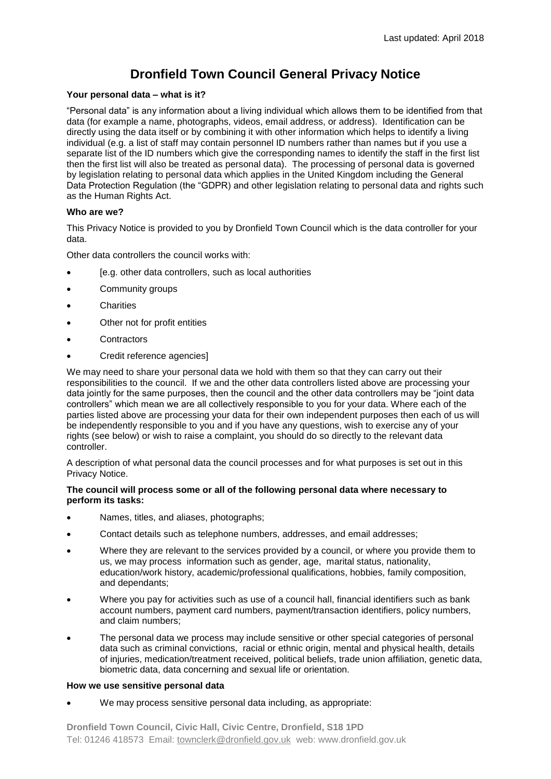# **Dronfield Town Council General Privacy Notice**

## **Your personal data – what is it?**

"Personal data" is any information about a living individual which allows them to be identified from that data (for example a name, photographs, videos, email address, or address). Identification can be directly using the data itself or by combining it with other information which helps to identify a living individual (e.g. a list of staff may contain personnel ID numbers rather than names but if you use a separate list of the ID numbers which give the corresponding names to identify the staff in the first list then the first list will also be treated as personal data). The processing of personal data is governed by legislation relating to personal data which applies in the United Kingdom including the General Data Protection Regulation (the "GDPR) and other legislation relating to personal data and rights such as the Human Rights Act.

## **Who are we?**

This Privacy Notice is provided to you by Dronfield Town Council which is the data controller for your data.

Other data controllers the council works with:

- [e.g. other data controllers, such as local authorities
- Community groups
- **Charities**
- Other not for profit entities
- **Contractors**
- Credit reference agencies]

We may need to share your personal data we hold with them so that they can carry out their responsibilities to the council. If we and the other data controllers listed above are processing your data jointly for the same purposes, then the council and the other data controllers may be "joint data controllers" which mean we are all collectively responsible to you for your data. Where each of the parties listed above are processing your data for their own independent purposes then each of us will be independently responsible to you and if you have any questions, wish to exercise any of your rights (see below) or wish to raise a complaint, you should do so directly to the relevant data controller.

A description of what personal data the council processes and for what purposes is set out in this Privacy Notice.

#### **The council will process some or all of the following personal data where necessary to perform its tasks:**

- Names, titles, and aliases, photographs;
- Contact details such as telephone numbers, addresses, and email addresses;
- Where they are relevant to the services provided by a council, or where you provide them to us, we may process information such as gender, age, marital status, nationality, education/work history, academic/professional qualifications, hobbies, family composition, and dependants;
- Where you pay for activities such as use of a council hall, financial identifiers such as bank account numbers, payment card numbers, payment/transaction identifiers, policy numbers, and claim numbers;
- The personal data we process may include sensitive or other special categories of personal data such as criminal convictions, racial or ethnic origin, mental and physical health, details of injuries, medication/treatment received, political beliefs, trade union affiliation, genetic data, biometric data, data concerning and sexual life or orientation.

#### **How we use sensitive personal data**

We may process sensitive personal data including, as appropriate: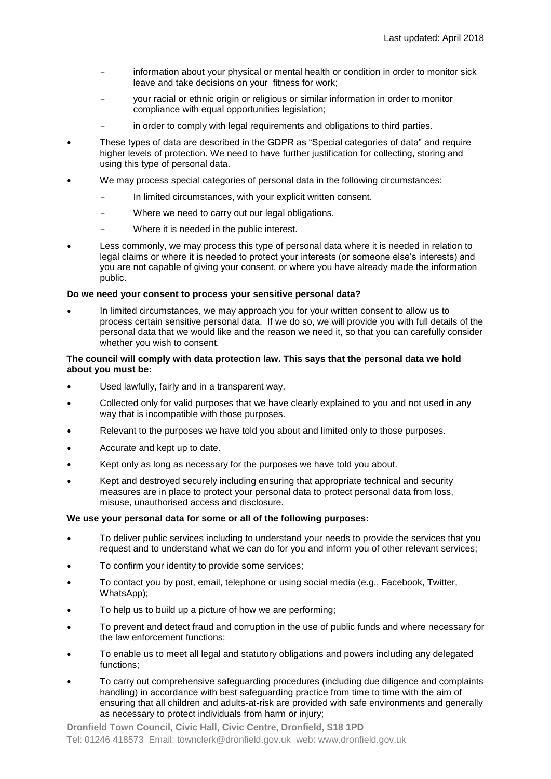- information about your physical or mental health or condition in order to monitor sick leave and take decisions on your fitness for work;
- your racial or ethnic origin or religious or similar information in order to monitor compliance with equal opportunities legislation;
- in order to comply with legal requirements and obligations to third parties.
- These types of data are described in the GDPR as "Special categories of data" and require higher levels of protection. We need to have further justification for collecting, storing and using this type of personal data.
- We may process special categories of personal data in the following circumstances:
	- In limited circumstances, with your explicit written consent.
	- Where we need to carry out our legal obligations.
	- Where it is needed in the public interest.
- Less commonly, we may process this type of personal data where it is needed in relation to legal claims or where it is needed to protect your interests (or someone else's interests) and you are not capable of giving your consent, or where you have already made the information public.

#### **Do we need your consent to process your sensitive personal data?**

 In limited circumstances, we may approach you for your written consent to allow us to process certain sensitive personal data. If we do so, we will provide you with full details of the personal data that we would like and the reason we need it, so that you can carefully consider whether you wish to consent.

## **The council will comply with data protection law. This says that the personal data we hold about you must be:**

- Used lawfully, fairly and in a transparent way.
- Collected only for valid purposes that we have clearly explained to you and not used in any way that is incompatible with those purposes.
- Relevant to the purposes we have told you about and limited only to those purposes.
- Accurate and kept up to date.
- Kept only as long as necessary for the purposes we have told you about.
- Kept and destroyed securely including ensuring that appropriate technical and security measures are in place to protect your personal data to protect personal data from loss, misuse, unauthorised access and disclosure.

#### **We use your personal data for some or all of the following purposes:**

- To deliver public services including to understand your needs to provide the services that you request and to understand what we can do for you and inform you of other relevant services;
- To confirm your identity to provide some services;
- To contact you by post, email, telephone or using social media (e.g., Facebook, Twitter, WhatsApp);
- To help us to build up a picture of how we are performing;
- To prevent and detect fraud and corruption in the use of public funds and where necessary for the law enforcement functions;
- To enable us to meet all legal and statutory obligations and powers including any delegated functions;
- To carry out comprehensive safeguarding procedures (including due diligence and complaints handling) in accordance with best safeguarding practice from time to time with the aim of ensuring that all children and adults-at-risk are provided with safe environments and generally as necessary to protect individuals from harm or injury;

**Dronfield Town Council, Civic Hall, Civic Centre, Dronfield, S18 1PD** Tel: 01246 418573 Email: [townclerk@dronfield.gov.uk](mailto:townclerk@dronfield.gov.uk) web: www.dronfield.gov.uk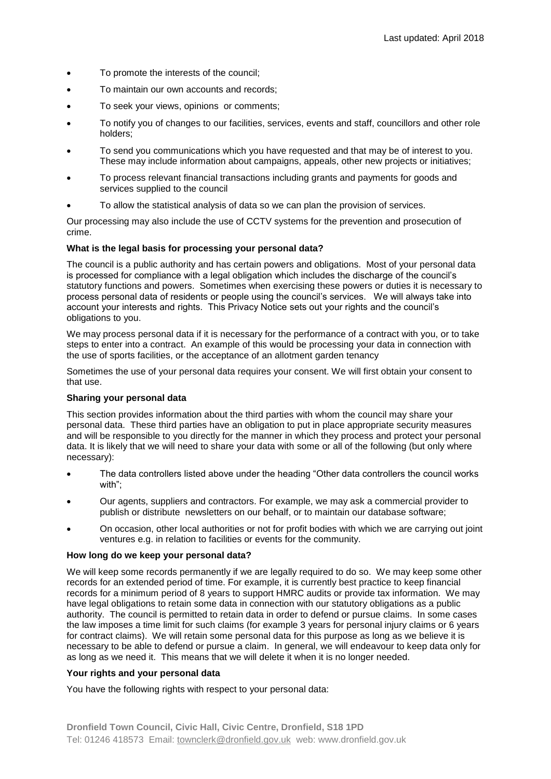- To promote the interests of the council;
- To maintain our own accounts and records;
- To seek your views, opinions or comments;
- To notify you of changes to our facilities, services, events and staff, councillors and other role holders;
- To send you communications which you have requested and that may be of interest to you. These may include information about campaigns, appeals, other new projects or initiatives;
- To process relevant financial transactions including grants and payments for goods and services supplied to the council
- To allow the statistical analysis of data so we can plan the provision of services.

Our processing may also include the use of CCTV systems for the prevention and prosecution of crime.

## **What is the legal basis for processing your personal data?**

The council is a public authority and has certain powers and obligations. Most of your personal data is processed for compliance with a legal obligation which includes the discharge of the council's statutory functions and powers. Sometimes when exercising these powers or duties it is necessary to process personal data of residents or people using the council's services. We will always take into account your interests and rights. This Privacy Notice sets out your rights and the council's obligations to you.

We may process personal data if it is necessary for the performance of a contract with you, or to take steps to enter into a contract. An example of this would be processing your data in connection with the use of sports facilities, or the acceptance of an allotment garden tenancy

Sometimes the use of your personal data requires your consent. We will first obtain your consent to that use.

#### **Sharing your personal data**

This section provides information about the third parties with whom the council may share your personal data. These third parties have an obligation to put in place appropriate security measures and will be responsible to you directly for the manner in which they process and protect your personal data. It is likely that we will need to share your data with some or all of the following (but only where necessary):

- The data controllers listed above under the heading "Other data controllers the council works with";
- Our agents, suppliers and contractors. For example, we may ask a commercial provider to publish or distribute newsletters on our behalf, or to maintain our database software;
- On occasion, other local authorities or not for profit bodies with which we are carrying out joint ventures e.g. in relation to facilities or events for the community.

#### **How long do we keep your personal data?**

We will keep some records permanently if we are legally required to do so. We may keep some other records for an extended period of time. For example, it is currently best practice to keep financial records for a minimum period of 8 years to support HMRC audits or provide tax information. We may have legal obligations to retain some data in connection with our statutory obligations as a public authority. The council is permitted to retain data in order to defend or pursue claims. In some cases the law imposes a time limit for such claims (for example 3 years for personal injury claims or 6 years for contract claims). We will retain some personal data for this purpose as long as we believe it is necessary to be able to defend or pursue a claim. In general, we will endeavour to keep data only for as long as we need it. This means that we will delete it when it is no longer needed.

## **Your rights and your personal data**

You have the following rights with respect to your personal data: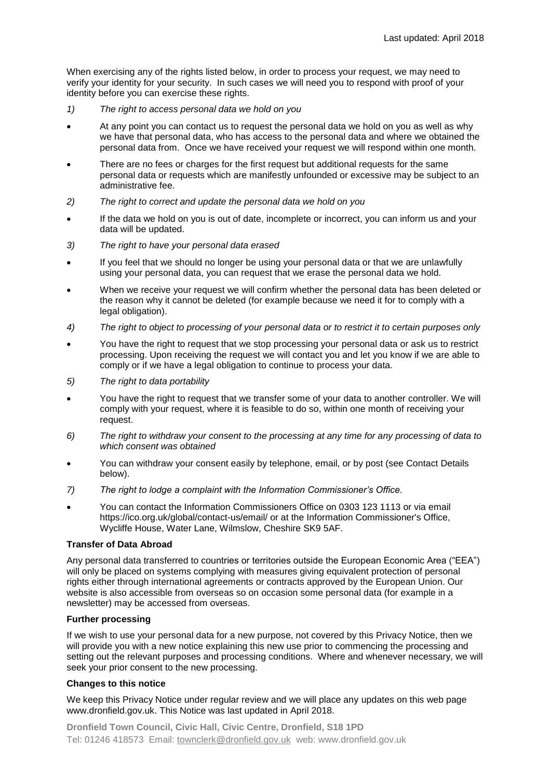When exercising any of the rights listed below, in order to process your request, we may need to verify your identity for your security. In such cases we will need you to respond with proof of your identity before you can exercise these rights.

- *1) The right to access personal data we hold on you*
- At any point you can contact us to request the personal data we hold on you as well as why we have that personal data, who has access to the personal data and where we obtained the personal data from. Once we have received your request we will respond within one month.
- There are no fees or charges for the first request but additional requests for the same personal data or requests which are manifestly unfounded or excessive may be subject to an administrative fee.
- *2) The right to correct and update the personal data we hold on you*
- If the data we hold on you is out of date, incomplete or incorrect, you can inform us and your data will be updated.
- *3) The right to have your personal data erased*
- If you feel that we should no longer be using your personal data or that we are unlawfully using your personal data, you can request that we erase the personal data we hold.
- When we receive your request we will confirm whether the personal data has been deleted or the reason why it cannot be deleted (for example because we need it for to comply with a legal obligation).
- *4) The right to object to processing of your personal data or to restrict it to certain purposes only*
- You have the right to request that we stop processing your personal data or ask us to restrict processing. Upon receiving the request we will contact you and let you know if we are able to comply or if we have a legal obligation to continue to process your data.
- *5) The right to data portability*
- You have the right to request that we transfer some of your data to another controller. We will comply with your request, where it is feasible to do so, within one month of receiving your request.
- *6) The right to withdraw your consent to the processing at any time for any processing of data to which consent was obtained*
- You can withdraw your consent easily by telephone, email, or by post (see Contact Details below).
- *7) The right to lodge a complaint with the Information Commissioner's Office.*
- You can contact the Information Commissioners Office on 0303 123 1113 or via email https://ico.org.uk/global/contact-us/email/ or at the Information Commissioner's Office, Wycliffe House, Water Lane, Wilmslow, Cheshire SK9 5AF.

## **Transfer of Data Abroad**

Any personal data transferred to countries or territories outside the European Economic Area ("EEA") will only be placed on systems complying with measures giving equivalent protection of personal rights either through international agreements or contracts approved by the European Union. Our website is also accessible from overseas so on occasion some personal data (for example in a newsletter) may be accessed from overseas.

## **Further processing**

If we wish to use your personal data for a new purpose, not covered by this Privacy Notice, then we will provide you with a new notice explaining this new use prior to commencing the processing and setting out the relevant purposes and processing conditions. Where and whenever necessary, we will seek your prior consent to the new processing.

#### **Changes to this notice**

We keep this Privacy Notice under regular review and we will place any updates on this web page www.dronfield.gov.uk. This Notice was last updated in April 2018.

**Dronfield Town Council, Civic Hall, Civic Centre, Dronfield, S18 1PD** Tel: 01246 418573 Email: [townclerk@dronfield.gov.uk](mailto:townclerk@dronfield.gov.uk) web: www.dronfield.gov.uk